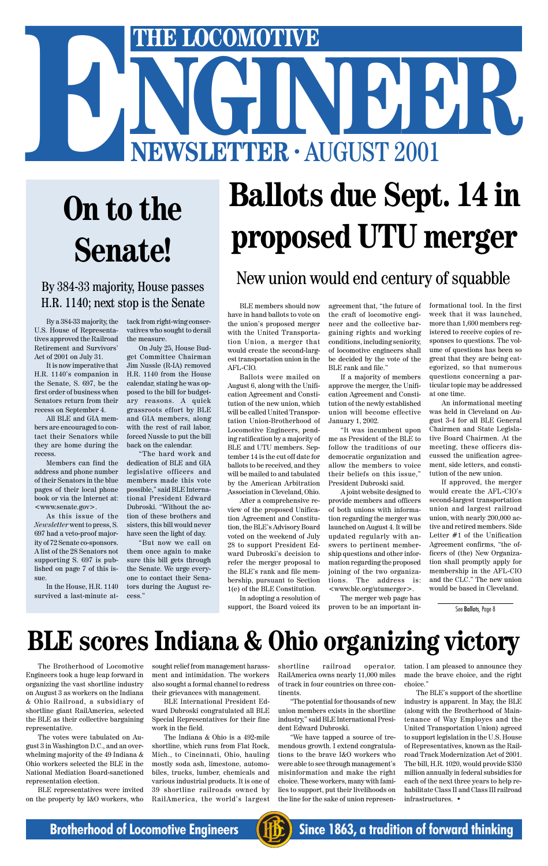

# **Ballots due Sept. 14 in proposed UTU merger**

## **BLE scores Indiana & Ohio organizing victory**

# THE LOCOMOTIVE<br>
NEWSLETTER · AUGUST 2001 **ENEXAGORAGE AUGUST 2001**<br> **ENEWSLETTER · AUGUST 2001**

# **On to the Senate!**

#### By 384-33 majority, House passes H.R. 1140; next stop is the Senate

The Brotherhood of Locomotive Engineers took a huge leap forward in organizing the vast shortline industry on August 3 as workers on the Indiana & Ohio Railroad, a subsidiary of shortline giant RailAmerica, selected the BLE as their collective bargaining representative.

The votes were tabulated on August 3 in Washington D.C., and an overwhelming majority of the 49 Indiana & Ohio workers selected the BLE in the National Mediation Board-sanctioned representation election.

BLE representatives were invited on the property by I&O workers, who

sought relief from management harassment and intimidation. The workers also sought a formal channel to redress their grievances with management.

BLE International President Edward Dubroski congratulated all BLE Special Representatives for their fine work in the field.

The Indiana & Ohio is a 492-mile shortline, which runs from Flat Rock, Mich., to Cincinnati, Ohio, hauling mostly soda ash, limestone, automobiles, trucks, lumber, chemicals and various industrial products. It is one of 39 shortline railroads owned by RailAmerica, the world's largest shortline railroad operator. RailAmerica owns nearly 11,000 miles of track in four countries on three continents.

"The potential for thousands of new union members exists in the shortline industry," said BLE International President Edward Dubroski.

"We have tapped a source of tremendous growth. I extend congratulations to the brave I&O workers who were able to see through management's misinformation and make the right choice. These workers, many with families to support, put their livelihoods on the line for the sake of union representation. I am pleased to announce they made the brave choice, and the right choice."

The BLE's support of the shortline industry is apparent. In May, the BLE (along with the Brotherhood of Maintenance of Way Employes and the United Transportation Union) agreed to support legislation in the U.S. House of Representatives, known as the Railroad Track Modernization Act of 2001. The bill, H.R. 1020, would provide \$350 million annually in federal subsidies for each of the next three years to help rehabilitate Class II and Class III railroad infrastructures. •

By a 384-33 majority, the U.S. House of Representatives approved the Railroad Retirement and Survivors' Act of 2001 on July 31.

It is now imperative that H.R. 1140's companion in the Senate, S. 697, be the first order of business when Senators return from their recess on September 4.

All BLE and GIA members are encouraged to contact their Senators while they are home during the recess.

Members can find the address and phone number of their Senators in the blue pages of their local phone book or via the Internet at: <www.senate.gov>.

As this issue of the *Newsletter* went to press, S. 697 had a veto-proof majority of 72 Senate co-sponsors. A list of the 28 Senators not supporting S. 697 is published on page 7 of this issue.

In the House, H.R. 1140 survived a last-minute attack from right-wing conservatives who sought to derail the measure.

On July 25, House Budget Committee Chairman Jim Nussle (R-IA) removed H.R. 1140 from the House calendar, stating he was opposed to the bill for budgetary reasons. A quick grassroots effort by BLE and GIA members, along with the rest of rail labor, forced Nussle to put the bill back on the calendar.

"The hard work and dedication of BLE and GIA legislative officers and members made this vote possible," said BLE International President Edward Dubroski. "Without the action of these brothers and sisters, this bill would never have seen the light of day.

"But now we call on them once again to make sure this bill gets through the Senate. We urge everyone to contact their Senators during the August recess."

#### New union would end century of squabble

BLE members should now have in hand ballots to vote on the union's proposed merger with the United Transportation Union, a merger that would create the second-largest transportation union in the AFL-CIO.

Ballots were mailed on August 6, along with the Unification Agreement and Constitution of the new union, which will be called United Transportation Union-Brotherhood of Locomotive Engineers, pending ratification by a majority of BLE and UTU members. September 14 is the cut off date for ballots to be received, and they will be mailed to and tabulated by the American Arbitration Association in Cleveland, Ohio.

After a comprehensive review of the proposed Unification Agreement and Constitution, the BLE's Advisory Board voted on the weekend of July 28 to support President Edward Dubroski's decision to refer the merger proposal to the BLE's rank and file membership, pursuant to Section 1(e) of the BLE Constitution.

In adopting a resolution of support, the Board voiced its

agreement that, "the future of the craft of locomotive engineer and the collective bargaining rights and working conditions, including seniority, of locomotive engineers shall be decided by the vote of the BLE rank and file."

If a majority of members approve the merger, the Unification Agreement and Constitution of the newly established union will become effective January 1, 2002.

"It was incumbent upon me as President of the BLE to follow the traditions of our democratic organization and allow the members to voice their beliefs on this issue," President Dubroski said.

A joint website designed to provide members and officers of both unions with information regarding the merger was launched on August 4. It will be updated regularly with answers to pertinent membership questions and other information regarding the proposed joining of the two organizations. The address is: <www.ble.org/utumerger>.

The merger web page has proven to be an important informational tool. In the first week that it was launched, more than 1,600 members registered to receive copies of responses to questions. The volume of questions has been so great that they are being categorized, so that numerous questions concerning a particular topic may be addressed at one time.

An informational meeting was held in Cleveland on August 3-4 for all BLE General Chairmen and State Legislative Board Chairmen. At the meeting, these officers discussed the unification agreement, side letters, and constitution of the new union.

If approved, the merger would create the AFL-CIO's second-largest transportation union and largest railroad union, with nearly 200,000 active and retired members. Side Letter #1 of the Unification Agreement confirms, "the officers of (the) New Organization shall promptly apply for membership in the AFL-CIO and the CLC." The new union would be based in Cleveland.

See Ballots, Page 8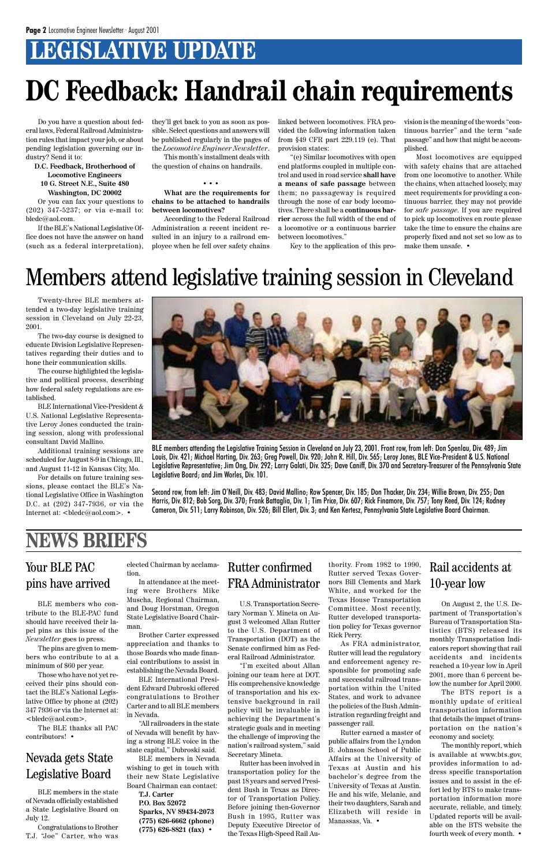### **LEGISLATIVE UPDATE**

Do you have a question about federal laws, Federal Railroad Administration rules that impact your job, or about pending legislation governing our industry? Send it to:

**D.C. Feedback, Brotherhood of Locomotive Engineers 10 G. Street N.E., Suite 480 Washington, DC 20002**

Or you can fax your questions to (202) 347-5237; or via e-mail to: bledc@aol.com.

If the BLE's National Legislative Office does not have the answer on hand (such as a federal interpretation), they'll get back to you as soon as possible. Select questions and answers will be published regularly in the pages of the *Locomotive Engineer Newsletter*.

This month's installment deals with the question of chains on handrails.

• • •

**What are the requirements for chains to be attached to handrails between locomotives?**

According to the Federal Railroad Administration a recent incident resulted in an injury to a railroad employee when he fell over safety chains

# **DC Feedback: Handrail chain requirements**

linked between locomotives. FRA provided the following information taken from §49 CFR part 229.119 (e). That provision states:

"(e) Similar locomotives with open end platforms coupled in multiple control and used in road service **shall have a means of safe passage** between them; no passageway is required through the nose of car body locomotives. There shall be a **continuous barrier** across the full width of the end of a locomotive or a continuous barrier between locomotives."

Key to the application of this pro-

vision is the meaning of the words "continuous barrier" and the term "safe passage" and how that might be accomplished.

For details on future training sessions, please contact the BLE's National Legislative Office in Washington D.C. at (202) 347-7936, or via the Internet at: <br/> <br/>bledc@aol.com>. •

Most locomotives are equipped with safety chains that are attached from one locomotive to another. While the chains, when attached loosely, may meet requirements for providing a continuous barrier, they may not provide for *safe passage.* If you are required to pick up locomotives en route please take the time to ensure the chains are properly fixed and not set so low as to make them unsafe. •

### Members attend legislative training session in Cleveland



BLE members attending the Legislative Training Session in Cleveland on July 23, 2001. Front row, from left: Don Spenlau, Div. 489; Jim Louis, Div. 421; Michael Harting, Div. 263; Greg Powell, Div. 920; John R. Hill, Div. 565; Leroy Jones, BLE Vice-President & U.S. National Legislative Representative; Jim Ong, Div. 292; Larry Galati, Div. 325; Dave Caniff, Div. 370 and Secretary-Treasurer of the Pennsylvania State Legislative Board; and Jim Worles, Div. 101.

Second row, from left: Jim O'Neill, Div. 483; David Mallino; Row Spencer, Div. 185; Don Thacker, Div. 234; Willie Brown, Div. 255; Dan Harris, Div. 812; Bob Sorg, Div. 370; Frank Battaglia, Div. 1; Tim Price, Div. 607; Rick Finamore, Div. 757; Tony Reed, Div. 124; Rodney Cameron, Div. 511; Larry Robinson, Div. 526; Bill Ellert, Div. 3; and Ken Kertesz, Pennsylvania State Legislative Board Chairman.

Twenty-three BLE members attended a two-day legislative training session in Cleveland on July 22-23, 2001.

The two-day course is designed to educate Division Legislative Representatives regarding their duties and to hone their communication skills.

The course highlighted the legislative and political process, describing how federal safety regulations are established.

BLE International Vice-President & U.S. National Legislative Representative Leroy Jones conducted the training session, along with professional consultant David Mallino.

Additional training sessions are scheduled for August 8-9 in Chicago, Ill., and August 11-12 in Kansas City, Mo.

#### Your BLE PAC pins have arrived

#### **NEWS BRIEFS**

BLE members who contribute to the BLE-PAC fund should have received their lapel pins as this issue of the

*Newsletter* goes to press.

The pins are given to members who contribute to at a minimum of \$60 per year.

Those who have not yet received their pins should contact the BLE's National Legislative Office by phone at (202) 347 7936 or via the Internet at: <bledc@aol.com>.

The BLE thanks all PAC contributors! •

#### Nevada gets State Legislative Board

BLE members in the state of Nevada officially established a State Legislative Board on July 12.

Congratulations to Brother T.J. "Joe" Carter, who was

elected Chairman by acclamation.

In attendance at the meeting were Brothers Mike Muscha, Regional Chairman, and Doug Horstman, Oregon State Legislative Board Chairman.

Brother Carter expressed

appreciation and thanks to those Boards who made financial contributions to assist in establishing the Nevada Board.

BLE International President Edward Dubroski offered congratulations to Brother Carter and to all BLE members in Nevada.

"All railroaders in the state of Nevada will benefit by having a strong BLE voice in the state capital," Dubroski said.

BLE members in Nevada wishing to get in touch with their new State Legislative Board Chairman can contact:

**T.J. Carter P.O. Box 52072 Sparks, NV 89434-2073 (775) 626-6662 (phone) (775) 626-8821 (fax)** •

U.S. Transportation Secretary Norman Y. Mineta on August 3 welcomed Allan Rutter to the U.S. Department of

Transportation (DOT) as the Senate confirmed him as Federal Railroad Administrator.

"I'm excited about Allan joining our team here at DOT. His comprehensive knowledge of transportation and his extensive background in rail policy will be invaluable in achieving the Department's strategic goals and in meeting the challenge of improving the nation's railroad system," said Secretary Mineta.

Rutter has been involved in transportation policy for the past 18 years and served President Bush in Texas as Director of Transportation Policy. Before joining then-Governor Bush in 1995, Rutter was Deputy Executive Director of the Texas High-Speed Rail Au-

#### Rutter confirmed FRA Administrator

thority. From 1982 to 1990, Rutter served Texas Governors Bill Clements and Mark White, and worked for the Texas House Transportation Committee. Most recently, Rutter developed transportation policy for Texas governor

Rick Perry.

As FRA administrator, Rutter will lead the regulatory and enforcement agency responsible for promoting safe and successful railroad transportation within the United States, and work to advance the policies of the Bush Administration regarding freight and passenger rail.

Rutter earned a master of public affairs from the Lyndon B. Johnson School of Public Affairs at the University of Texas at Austin and his bachelor's degree from the University of Texas at Austin. He and his wife, Melanie, and their two daughters, Sarah and Elizabeth will reside in Manassas, Va. •

#### Rail accidents at 10-year low

On August 2, the U.S. Department of Transportation's Bureau of Transportation Statistics (BTS) released its monthly Transportation Indicators report showing that rail accidents and incidents reached a 10-year low in April 2001, more than 6 percent below the number for April 2000. The BTS report is a monthly update of critical transportation information that details the impact of transportation on the nation's economy and society. The monthly report, which is available at www.bts.gov, provides information to address specific transportation issues and to assist in the effort led by BTS to make transportation information more accurate, reliable, and timely. Updated reports will be available on the BTS website the fourth week of every month. •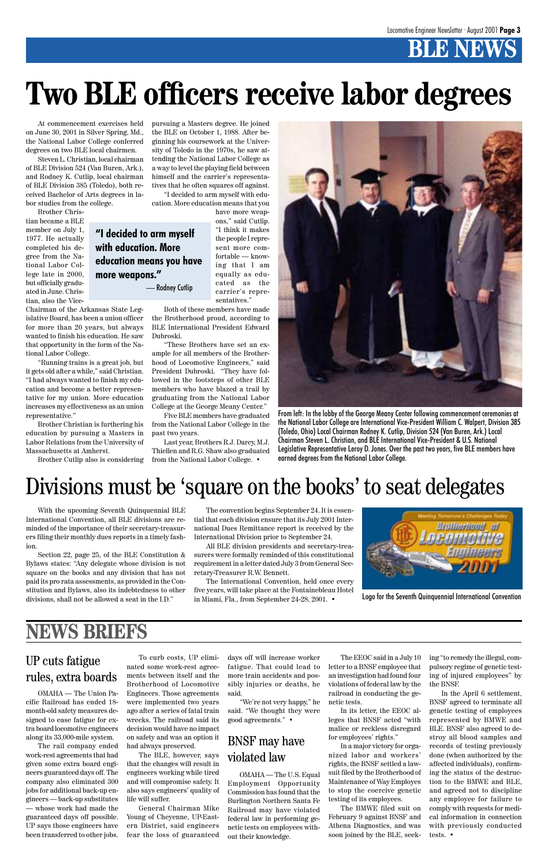### **BENEW**

With the upcoming Seventh Quinquennial BLE International Convention, all BLE divisions are reminded of the importance of their secretary-treasurers filing their monthly dues reports in a timely fashion.

Section 22, page 25, of the BLE Constitution & Bylaws states: "Any delegate whose division is not square on the books and any division that has not paid its pro rata assessments, as provided in the Constitution and Bylaws, also its indebtedness to other divisions, shall not be allowed a seat in the I.D."

The convention begins September 24. It is essential that each division ensure that its July 2001 International Dues Remittance report is received by the International Division prior to September 24.

All BLE division presidents and secretary-treasurers were formally reminded of this constitutional requirement in a letter dated July 3 from General Secretary-Treasurer R.W. Bennett.

The International Convention, held once every five years, will take place at the Fontainebleau Hotel in Miami, Fla., from September 24-28, 2001. •



### Divisions must be 'square on the books' to seat delegates

Logo for the Seventh Quinquennial International Convention

At commencement exercises held on June 30, 2001 in Silver Spring, Md., the National Labor College conferred degrees on two BLE local chairmen.

Steven L. Christian, local chairman of BLE Division 524 (Van Buren, Ark.), and Rodney K. Cutlip, local chairman of BLE Division 385 (Toledo), both received Bachelor of Arts degrees in labor studies from the college.

Brother Christian became a BLE member on July 1, 1977. He actually completed his degree from the National Labor College late in 2000, but officially graduated in June. Christian, also the Vice-Chairman of the Arkansas State Leg-

islative Board, has been a union officer for more than 20 years, but always wanted to finish his education. He saw that opportunity in the form of the Na-

tional Labor College.

"Running trains is a great job, but it gets old after a while," said Christian. "I had always wanted to finish my education and become a better representative for my union. More education increases my effectiveness as an union

representative."

Brother Christian is furthering his education by pursuing a Masters in Labor Relations from the University of

Massachusetts at Amherst.

Brother Cutlip also is considering

pursuing a Masters degree. He joined the BLE on October 1, 1988. After beginning his coursework at the University of Toledo in the 1970s, he saw attending the National Labor College as a way to level the playing field between himself and the carrier's representatives that he often squares off against. "I decided to arm myself with education. More education means that you

> have more weapons," said Cutlip. "I think it makes the people I represent more comfortable — knowing that I am equally as educated as the carrier's representatives."

Both of these members have made the Brotherhood proud, according to BLE International President Edward Dubroski.

"These Brothers have set an example for all members of the Brotherhood of Locomotive Engineers," said President Dubroski. "They have followed in the footsteps of other BLE members who have blazed a trail by graduating from the National Labor College at the George Meany Center."

Five BLE members have graduated from the National Labor College in the past two years.

Last year, Brothers R.J. Darcy, M.J. Thiellen and R.G. Shaw also graduated from the National Labor College. •

# **Two BLE officers receive labor degrees**



From left: In the lobby of the George Meany Center following commencement ceremonies at the National Labor College are International Vice-President William C. Walpert, Division 385 (Toledo, Ohio) Local Chairman Rodney K. Cutlip, Division 524 (Van Buren, Ark.) Local Chairman Steven L. Christian, and BLE International Vice-President & U.S. National Legislative Representative Leroy D. Jones. Over the past two years, five BLE members have earned degrees from the National Labor College.

#### **"I decided to arm myself with education. More education means you have more weapons."**

— Rodney Cutlip

#### UP cuts fatigue rules, extra boards

OMAHA — The Union Pacific Railroad has ended 18 month-old safety measures designed to ease fatigue for extra board locomotive engineers along its 33,000-mile system.

The rail company ended work-rest agreements that had given some extra board engineers guaranteed days off. The company also eliminated 300 jobs for additional back-up engineers — back-up substitutes — whose work had made the guaranteed days off possible. UP says those engineers have been transferred to other jobs.

To curb costs, UP eliminated some work-rest agreements between itself and the Brotherhood of Locomotive Engineers. Those agreements were implemented two years ago after a series of fatal train wrecks. The railroad said its decision would have no impact on safety and was an option it had always preserved.

The BLE, however, says that the changes will result in engineers working while tired and will compromise safety. It also says engineers' quality of life will suffer.

General Chairman Mike Young of Cheyenne, UP-Eastern District, said engineers fear the loss of guaranteed

days off will increase worker fatigue. That could lead to more train accidents and possibly injuries or deaths, he said.

"We're not very happy," he said. "We thought they were good agreements." •

OMAHA — The U.S. Equal Employment Opportunity Commission has found that the Burlington Northern Santa Fe Railroad may have violated federal law in performing genetic tests on employees without their knowledge.

#### BNSF may have violated law

The EEOC said in a July 10 letter to a BNSF employee that an investigation had found four violations of federal law by the railroad in conducting the genetic tests.

In its letter, the EEOC alleges that BNSF acted "with malice or reckless disregard for employees' rights."

In a major victory for organized labor and workers' rights, the BNSF settled a lawsuit filed by the Brotherhood of Maintenance of Way Employes to stop the coercive genetic testing of its employees.

The BMWE filed suit on February 9 against BNSF and Athena Diagnostics, and was soon joined by the BLE, seeking "to remedy the illegal, compulsory regime of genetic testing of injured employees" by the BNSF.

In the April 6 settlement, BNSF agreed to terminate all genetic testing of employees represented by BMWE and BLE. BNSF also agreed to destroy all blood samples and records of testing previously done (when authorized by the affected individuals), confirming the status of the destruction to the BMWE and BLE, and agreed not to discipline any employee for failure to comply with requests for medical information in connection with previously conducted tests. •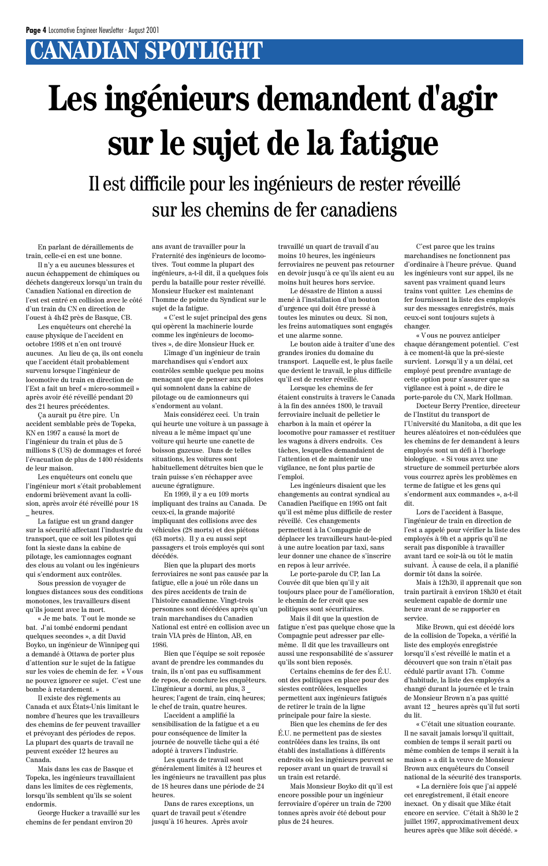### **CANADIAN SPOTLIGHT**

En parlant de déraillements de train, celle-ci en est une bonne.

Il n'y a eu aucunes blessures et aucun échappement de chimiques ou déchets dangereux lorsqu'un train du Canadien National en direction de l'est est entré en collision avec le côté d'un train du CN en direction de l'ouest à 4h42 près de Basque, CB.

Les enquêteurs ont cherché la cause physique de l'accident en octobre 1998 et n'en ont trouvé aucunes. Au lieu de ça, ils ont conclu que l'accident était probablement survenu lorsque l'ingénieur de locomotive du train en direction de l'Est a fait un bref « micro-sommeil » après avoir été réveillé pendant 20 des 21 heures précédentes.

Ça aurait pu être pire. Un accident semblable près de Topeka, KN en 1997 a causé la mort de l'ingénieur du train et plus de 5 millions \$ (US) de dommages et forcé l'évacuation de plus de 1400 résidents de leur maison.

Les enquêteurs ont conclu que l'ingénieur mort s'était probablement endormi brièvement avant la collision, après avoir été réveillé pour 18 \_ heures.

La fatigue est un grand danger sur la sécurité affectant l'industrie du transport, que ce soit les pilotes qui font la sieste dans la cabine de pilotage, les camionnages cognant des clous au volant ou les ingénieurs qui s'endorment aux contrôles.

Sous pression de voyager de longues distances sous des conditions monotones, les travailleurs disent qu'ils jouent avec la mort.

«␣ Je me bats. T out le monde se bat. J'ai tombé endormi pendant quelques secondes », a dit David Boyko, un ingénieur de Winnipeg qui a demandé à Ottawa de porter plus d'attention sur le sujet de la fatigue sur les voies de chemin de fer. « Vous ne pouvez ignorer ce sujet. C'est une bombe à retardement. » Il existe des règlements au Canada et aux États-Unis limitant le nombre d'heures que les travailleurs des chemins de fer peuvent travailler et prévoyant des périodes de repos. La plupart des quarts de travail ne peuvent excéder 12 heures au Canada.

Mais dans les cas de Basque et Topeka, les ingénieurs travaillaient dans les limites de ces règlements, lorsqu'ils semblent qu'ils se soient endormis.

George Hucker a travaillé sur les chemins de fer pendant environ 20

# **Les ingénieurs demandent d'agir sur le sujet de la fatigue** Il est difficile pour les ingénieurs de rester réveillé sur les chemins de fer canadiens

ans avant de travailler pour la Fraternité des ingénieurs de locomotives. Tout comme la plupart des ingénieurs, a-t-il dit, il a quelques fois perdu la bataille pour rester réveillé. Monsieur Hucker est maintenant l'homme de pointe du Syndicat sur le sujet de la fatigue.

«␣ C'est le sujet principal des gens qui opèrent la machinerie lourde comme les ingénieurs de locomotives␣ », de dire Monsieur Huck er.

L'image d'un ingénieur de train marchandises qui s'endort aux contrôles semble quelque peu moins menaçant que de penser aux pilotes qui somnolent dans la cabine de pilotage ou de camionneurs qui s'endorment au volant.

Mais considérez ceci. Un train qui heurte une voiture à un passage à niveau a le même impact qu'une voiture qui heurte une canette de boisson gazeuse. Dans de telles situations, les voitures sont habituellement détruites bien que le train puisse s'en réchapper avec aucune égratignure.

En 1999, il y a eu 109 morts impliquant des trains au Canada. De ceux-ci, la grande majorité impliquant des collisions avec des véhicules (28 morts) et des piétons (63 morts). Il y a eu aussi sept passagers et trois employés qui sont décédés.

Bien que la plupart des morts ferroviaires ne sont pas causée par la fatigue, elle a joué un rôle dans un des pires accidents de train de l'histoire canadienne. Vingt-trois personnes sont décédées après qu'un train marchandises du Canadien National est entré en collision avec un train VIA près de Hinton, AB, en 1986. Bien que l'équipe se soit reposée avant de prendre les commandes du train, ils n'ont pas eu suffisamment de repos, de conclure les enquêteurs. L'ingénieur a dormi, au plus, 3 \_ heures; l'agent de train, cinq heures; le chef de train, quatre heures.

Mike Brown, qui est décédé lors de la collision de Topeka, a vérifié la liste des employés enregistrée lorsqu'il s'est réveillé le matin et a découvert que son train n'était pas cédulé partir avant 17h. Comme d'habitude, la liste des employés a changé durant la journée et le train de Monsieur Brown n'a pas quitté avant 12 \_ heures après qu'il fut sorti du lit. «␣ C'était une situation courante. Il ne savait jamais lorsqu'il quittait, combien de temps il serait parti ou même combien de temps il serait à la maison␣ » a dit la veuve de Monsieur Brown aux enquêteurs du Conseil national de la sécurité des transports. «␣ La dernière fois que j'ai appelé cet enregistrement, il était encore inexact. On y disait que Mike était encore en service. C'était à 8h30 le 2 juillet 1997, approximativement deux heures après que Mike soit décédé. »

L'accident a amplifié la sensibilisation de la fatigue et a eu pour conséquence de limiter la journée de nouvelle tâche qui a été adopté à travers l'industrie.

Les quarts de travail sont généralement limités à 12 heures et les ingénieurs ne travaillent pas plus de 18 heures dans une période de 24 heures.

Dans de rares exceptions, un quart de travail peut s'étendre jusqu'à 16 heures. Après avoir

travaillé un quart de travail d'au moins 10 heures, les ingénieurs ferroviaires ne peuvent pas retourner en devoir jusqu'à ce qu'ils aient eu au moins huit heures hors service.

Le désastre de Hinton a aussi mené à l'installation d'un bouton d'urgence qui doit être pressé à toutes les minutes ou deux. Si non, les freins automatiques sont engagés et une alarme sonne.

Le bouton aide à traiter d'une des grandes ironies du domaine du transport. Laquelle est, le plus facile que devient le travail, le plus difficile qu'il est de rester réveillé.

Lorsque les chemins de fer étaient construits à travers le Canada à la fin des années 1800, le travail ferroviaire incluait de pelletier le charbon à la main et opérer la locomotive pour ramasser et restituer les wagons à divers endroits. Ces tâches, lesquelles demandaient de l'attention et de maintenir une vigilance, ne font plus partie de l'emploi.

Les ingénieurs disaient que les changements au contrat syndical au Canadien Pacifique en 1995 ont fait qu'il est même plus difficile de rester réveillé. Ces changements permettent à la Compagnie de déplacer les travailleurs haut-le-pied à une autre location par taxi, sans leur donner une chance de s'inscrire en repos à leur arrivée.

Le porte-parole du CP, Ian La Couvée dit que bien qu'il y ait toujours place pour de l'amélioration, le chemin de fer croit que ses politiques sont sécuritaires.

Mais il dit que la question de fatigue n'est pas quelque chose que la Compagnie peut adresser par ellemême. Il dit que les travailleurs ont aussi une responsabilité de s'assurer qu'ils sont bien reposés.

Certains chemins de fer des É.U. ont des politiques en place pour des siestes contrôlées, lesquelles permettent aux ingénieurs fatigués de retirer le train de la ligne principale pour faire la sieste.

Bien que les chemins de fer des É.U. ne permettent pas de siestes contrôlées dans les trains, ils ont établi des installations à différents endroits où les ingénieurs peuvent se reposer avant un quart de travail si un train est retardé.

Mais Monsieur Boyko dit qu'il est encore possible pour un ingénieur ferroviaire d'opérer un train de 7200 tonnes après avoir été debout pour plus de 24 heures.

C'est parce que les trains marchandises ne fonctionnent pas d'ordinaire à l'heure prévue. Quand les ingénieurs vont sur appel, ils ne savent pas vraiment quand leurs trains vont quitter. Les chemins de fer fournissent la liste des employés sur des messages enregistrés, mais ceux-ci sont toujours sujets à changer.

«␣ V ous ne pouvez anticiper chaque dérangement potentiel. C'est à ce moment-là que la pré-sieste survient. Lorsqu'il y a un délai, cet employé peut prendre avantage de cette option pour s'assurer que sa vigilance est à point␣ », de dire le porte-parole du CN, Mark Hollman.

Docteur Berry Prentice, directeur de l'Institut du transport de l'Université du Manitoba, a dit que les heures aléatoires et non-cédulées que les chemins de fer demandent à leurs employés sont un défi à l'horloge biologique. « Si vous avez une structure de sommeil perturbée alors vous courrez après les problèmes en terme de fatigue et les gens qui s'endorment aux commandes », a-t-il dit.

Lors de l'accident à Basque, l'ingénieur de train en direction de l'est a appelé pour vérifier la liste des employés à 9h et a appris qu'il ne serait pas disponible à travailler avant tard ce soir-là ou tôt le matin suivant. À cause de cela, il a planifié dormir tôt dans la soirée.

Mais à 12h30, il apprenait que son train partirait à environ 18h30 et était seulement capable de dormir une heure avant de se rapporter en service.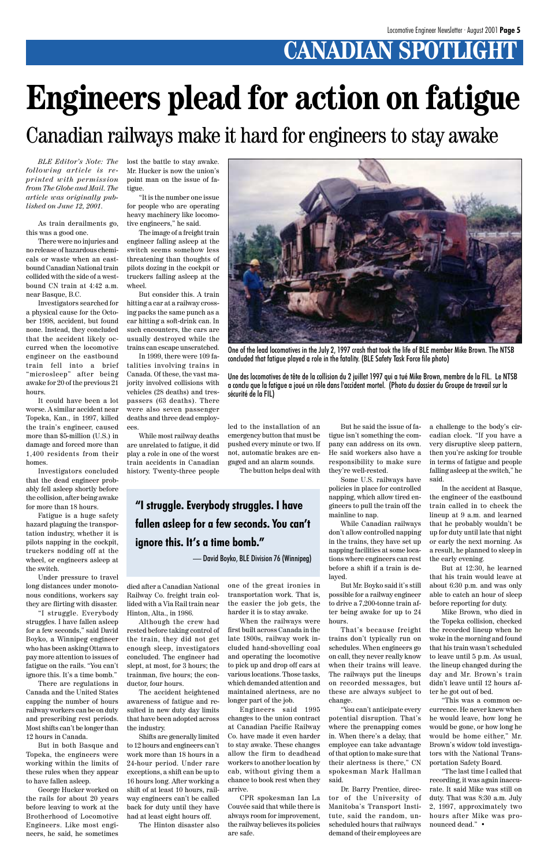### **CANADIAN SPOTLIGHT**

*BLE Editor's Note: The following article is reprinted with permission from The Globe and Mail. The article was originally published on June 12, 2001.*

As train derailments go, this was a good one.

There were no injuries and no release of hazardous chemicals or waste when an eastbound Canadian National train collided with the side of a westbound CN train at 4:42 a.m. near Basque, B.C.

Investigators searched for a physical cause for the October 1998, accident, but found none. Instead, they concluded that the accident likely occurred when the locomotive engineer on the eastbound train fell into a brief "microsleep" after being awake for 20 of the previous 21 hours.

It could have been a lot worse. A similar accident near Topeka, Kan., in 1997, killed the train's engineer, caused more than \$5-million (U.S.) in damage and forced more than 1,400 residents from their homes.

Investigators concluded that the dead engineer probably fell asleep shortly before the collision, after being awake for more than 18 hours.

Fatigue is a huge safety hazard plaguing the transportation industry, whether it is pilots napping in the cockpit, truckers nodding off at the wheel, or engineers asleep at the switch.

Under pressure to travel long distances under monotonous conditions, workers say they are flirting with disaster.

"I struggle. Everybody struggles. I have fallen asleep for a few seconds," said David

Boyko, a Winnipeg engineer who has been asking Ottawa to pay more attention to issues of fatigue on the rails. "You can't ignore this. It's a time bomb."

There are regulations in Canada and the United States capping the number of hours railway workers can be on duty and prescribing rest periods. Most shifts can't be longer than 12 hours in Canada.

But in both Basque and Topeka, the engineers were working within the limits of these rules when they appear to have fallen asleep.

George Hucker worked on the rails for about 20 years before leaving to work at the Brotherhood of Locomotive Engineers. Like most engineers, he said, he sometimes lost the battle to stay awake. Mr. Hucker is now the union's point man on the issue of fatigue.

"It is the number one issue for people who are operating heavy machinery like locomotive engineers," he said.

The image of a freight train engineer falling asleep at the switch seems somehow less threatening than thoughts of pilots dozing in the cockpit or truckers falling asleep at the wheel.

But consider this. A train hitting a car at a railway crossing packs the same punch as a car hitting a soft-drink can. In such encounters, the cars are usually destroyed while the trains can escape unscratched.

In 1999, there were 109 fatalities involving trains in Canada. Of these, the vast majority involved collisions with vehicles (28 deaths) and trespassers (63 deaths). There were also seven passenger deaths and three dead employees.

While most railway deaths are unrelated to fatigue, it did play a role in one of the worst train accidents in Canadian history. Twenty-three people

died after a Canadian National Railway Co. freight train collided with a Via Rail train near Hinton, Alta., in 1986.

Although the crew had rested before taking control of the train, they did not get enough sleep, investigators concluded. The engineer had slept, at most, for 3 hours; the trainman, five hours; the conductor, four hours.

The accident heightened awareness of fatigue and resulted in new duty day limits that have been adopted across the industry.

Shifts are generally limited to 12 hours and engineers can't work more than 18 hours in a 24-hour period. Under rare exceptions, a shift can be up to 16 hours long. After working a shift of at least 10 hours, railway engineers can't be called back for duty until they have had at least eight hours off.

The Hinton disaster also

led to the installation of an emergency button that must be pushed every minute or two. If not, automatic brakes are engaged and an alarm sounds. The button helps deal with

one of the great ironies in transportation work. That is, the easier the job gets, the harder it is to stay awake.

When the railways were first built across Canada in the late 1800s, railway work included hand-shovelling coal and operating the locomotive to pick up and drop off cars at various locations. Those tasks, which demanded attention and maintained alertness, are no longer part of the job. Engineers said 1995 changes to the union contract at Canadian Pacific Railway Co. have made it even harder to stay awake. These changes allow the firm to deadhead workers to another location by cab, without giving them a chance to book rest when they arrive.

CPR spokesman Ian La Couvée said that while there is always room for improvement, the railway believes its policies are safe.

# **Engineers plead for action on fatigue**

One of the lead locomotives in the July 2, 1997 crash that took the life of BLE member Mike Brown. The NTSB

concluded that fatigue played a role in the fatality. (BLE Safety Task Force file photo)

Une des locomotives de tête de la collision du 2 juillet 1997 qui a tué Mike Brown, membre de la FIL. Le NTSB a conclu que la fatigue a joué un rôle dans l'accident mortel. (Photo du dossier du Groupe de travail sur la

sécurité de la FIL)

But he said the issue of fatigue isn't something the company can address on its own. He said workers also have a responsibility to make sure they're well-rested.

Some U.S. railways have policies in place for controlled napping, which allow tired engineers to pull the train off the mainline to nap.

While Canadian railways don't allow controlled napping in the trains, they have set up napping facilities at some locations where engineers can rest before a shift if a train is delayed.

But Mr. Boyko said it's still possible for a railway engineer to drive a 7,200-tonne train after being awake for up to 24 hours.

That's because freight

trains don't typically run on schedules. When engineers go on call, they never really know when their trains will leave. The railways put the lineups on recorded messages, but these are always subject to change.

"You can't anticipate every potential disruption. That's where the prenapping comes in. When there's a delay, that employee can take advantage of that option to make sure that their alertness is there," CN spokesman Mark Hallman said.

Dr. Barry Prentice, director of the University of Manitoba's Transport Institute, said the random, unscheduled hours that railways demand of their employees are

a challenge to the body's circadian clock. "If you have a very disruptive sleep pattern, then you're asking for trouble in terms of fatigue and people falling asleep at the switch," he said.

In the accident at Basque, the engineer of the eastbound train called in to check the lineup at 9 a.m. and learned that he probably wouldn't be up for duty until late that night or early the next morning. As a result, he planned to sleep in the early evening.

But at 12:30, he learned that his train would leave at about 6:30 p.m. and was only able to catch an hour of sleep before reporting for duty.

Mike Brown, who died in the Topeka collision, checked the recorded lineup when he woke in the morning and found that his train wasn't scheduled to leave until 5 p.m. As usual, the lineup changed during the day and Mr. Brown's train didn't leave until 12 hours after he got out of bed. "This was a common occurrence. He never knew when he would leave, how long he would be gone, or how long he would be home either," Mr. Brown's widow told investigators with the National Transportation Safety Board. "The last time I called that recording, it was again inaccurate. It said Mike was still on duty. That was 8:30 a.m. July 2, 1997, approximately two hours after Mike was pronounced dead." •

Canadian railways make it hard for engineers to stay awake

#### **"I struggle. Everybody struggles. I have fallen asleep for a few seconds. You can't ignore this. It's a time bomb."**

— David Boyko, BLE Division 76 (Winnipeg)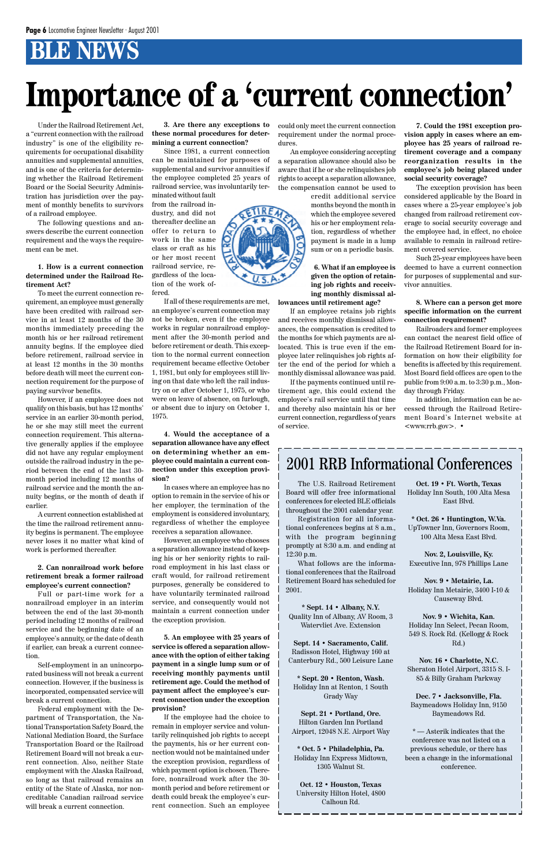### **BLE NEWS**

Under the Railroad Retirement Act, a "current connection with the railroad industry" is one of the eligibility requirements for occupational disability annuities and supplemental annuities, and is one of the criteria for determining whether the Railroad Retirement Board or the Social Security Administration has jurisdiction over the payment of monthly benefits to survivors of a railroad employee.

The following questions and answers describe the current connection requirement and the ways the requirement can be met.

#### **1. How is a current connection determined under the Railroad Retirement Act?**

To meet the current connection requirement, an employee must generally have been credited with railroad service in at least 12 months of the 30 months immediately preceding the month his or her railroad retirement annuity begins. If the employee died before retirement, railroad service in at least 12 months in the 30 months before death will meet the current connection requirement for the purpose of paying survivor benefits.

However, if an employee does not qualify on this basis, but has 12 months' service in an earlier 30-month period, he or she may still meet the current connection requirement. This alternative generally applies if the employee did not have any regular employment outside the railroad industry in the period between the end of the last 30 month period including 12 months of railroad service and the month the annuity begins, or the month of death if earlier.

A current connection established at the time the railroad retirement annuity begins is permanent. The employee never loses it no matter what kind of work is performed thereafter.

#### **2. Can nonrailroad work before retirement break a former railroad employee's current connection?**

Full or part-time work for a nonrailroad employer in an interim between the end of the last 30-month period including 12 months of railroad service and the beginning date of an employee's annuity, or the date of death if earlier, can break a current connection.

Self-employment in an unincorporated business will not break a current connection. However, if the business is incorporated, compensated service will break a current connection.

Federal employment with the Department of Transportation, the National Transportation Safety Board, the National Mediation Board, the Surface Transportation Board or the Railroad Retirement Board will not break a current connection. Also, neither State employment with the Alaska Railroad, so long as that railroad remains an entity of the State of Alaska, nor noncreditable Canadian railroad service will break a current connection.

**3. Are there any exceptions to these normal procedures for determining a current connection?**

Since 1981, a current connection can be maintained for purposes of supplemental and survivor annuities if the employee completed 25 years of railroad service, was involuntarily terminated without fault

from the railroad industry, and did not thereafter decline an offer to return to work in the same class or craft as his or her most recent railroad service, regardless of the loca-

tion of the work offered. If all of these requirements are met, an employee's current connection may not be broken, even if the employee works in regular nonrailroad employment after the 30-month period and before retirement or death. This exception to the normal current connection requirement became effective October 1, 1981, but only for employees still living on that date who left the rail indus-

try on or after October 1, 1975, or who were on leave of absence, on furlough, or absent due to injury on October 1, 1975.

**4. Would the acceptance of a separation allowance have any effect on determining whether an employee could maintain a current connection under this exception provision?**

In cases where an employee has no option to remain in the service of his or her employer, the termination of the employment is considered involuntary, regardless of whether the employee receives a separation allowance.

However, an employee who chooses a separation allowance instead of keeping his or her seniority rights to railroad employment in his last class or craft would, for railroad retirement purposes, generally be considered to have voluntarily terminated railroad service, and consequently would not maintain a current connection under the exception provision.

**5. An employee with 25 years of service is offered a separation allowance with the option of either taking payment in a single lump sum or of receiving monthly payments until retirement age. Could the method of payment affect the employee's current connection under the exception provision?** If the employee had the choice to remain in employer service and voluntarily relinquished job rights to accept the payments, his or her current connection would not be maintained under the exception provision, regardless of which payment option is chosen. Therefore, nonrailroad work after the 30 month period and before retirement or death could break the employee's current connection. Such an employee

could only meet the current connection requirement under the normal procedures.

An employee considering accepting a separation allowance should also be aware that if he or she relinquishes job rights to accept a separation allowance, the compensation cannot be used to

> credit additional service months beyond the month in which the employee severed his or her employment relation, regardless of whether payment is made in a lump sum or on a periodic basis.

**6. What if an employee is given the option of retaining job rights and receiving monthly dismissal al-**

**lowances until retirement age?** If an employee retains job rights

and receives monthly dismissal allowances, the compensation is credited to the months for which payments are allocated. This is true even if the employee later relinquishes job rights after the end of the period for which a monthly dismissal allowance was paid.

If the payments continued until retirement age, this could extend the employee's rail service until that time and thereby also maintain his or her current connection, regardless of years of service.

**7. Could the 1981 exception provision apply in cases where an employee has 25 years of railroad retirement coverage and a company reorganization results in the employee's job being placed under social security coverage?**

The exception provision has been considered applicable by the Board in cases where a 25-year employee's job changed from railroad retirement coverage to social security coverage and the employee had, in effect, no choice available to remain in railroad retirement covered service.

Such 25-year employees have been deemed to have a current connection for purposes of supplemental and survivor annuities.

**8. Where can a person get more specific information on the current connection requirement?**

Railroaders and former employees can contact the nearest field office of the Railroad Retirement Board for information on how their eligibility for benefits is affected by this requirement. Most Board field offices are open to the public from 9:00 a.m. to 3:30 p.m., Monday through Friday.

In addition, information can be accessed through the Railroad Retirement Board's Internet website at <www.rrb.gov>. •

# **Importance of a 'current connection'**

The U.S. Railroad Retirement Board will offer free informational conferences for elected BLE officials throughout the 2001 calendar year.

Registration for all informational conferences begins at 8 a.m., with the program beginning promptly at 8:30 a.m. and ending at 12:30 p.m.

What follows are the informational conferences that the Railroad Retirement Board has scheduled for 2001.

**\* Sept. 14 • Albany, N.Y.** Quality Inn of Albany, AV Room, 3 Watervliet Ave. Extension

**Sept. 14 • Sacramento, Calif.** Radisson Hotel, Highway 160 at Canterbury Rd., 500 Leisure Lane

**\* Sept. 20 • Renton, Wash.** Holiday Inn at Renton, 1 South Grady Way

**Sept. 21 • Portland, Ore.** Hilton Garden Inn Portland Airport, 12048 N.E. Airport Way

**\* Oct. 5 • Philadelphia, Pa.** Holiday Inn Express Midtown, 1305 Walnut St.

**Oct. 12 • Houston, Texas** University Hilton Hotel, 4800 Calhoun Rd.

#### 2001 RRB Informational Conferences

**Oct. 19 • Ft. Worth, Texas** Holiday Inn South, 100 Alta Mesa East Blvd.

**\* Oct. 26 • Huntington, W.Va.** UpTowner Inn, Governors Room, 100 Alta Mesa East Blvd.

**Nov. 2, Louisville, Ky.** Executive Inn, 978 Phillips Lane

**Nov. 9 • Metairie, La.** Holiday Inn Metairie, 3400 I-10 & Causeway Blvd.

**Nov. 9 • Wichita, Kan.** Holiday Inn Select, Pecan Room, 549 S. Rock Rd. (Kellogg & Rock Rd.)



**Nov. 16 • Charlotte, N.C.** Sheraton Hotel Airport, 3315 S. I-85 & Billy Graham Parkway

**Dec. 7 • Jacksonville, Fla.** Baymeadows Holiday Inn, 9150 Baymeadows Rd.

\* — Asterik indicates that the conference was not listed on a previous schedule, or there has been a change in the informational conference.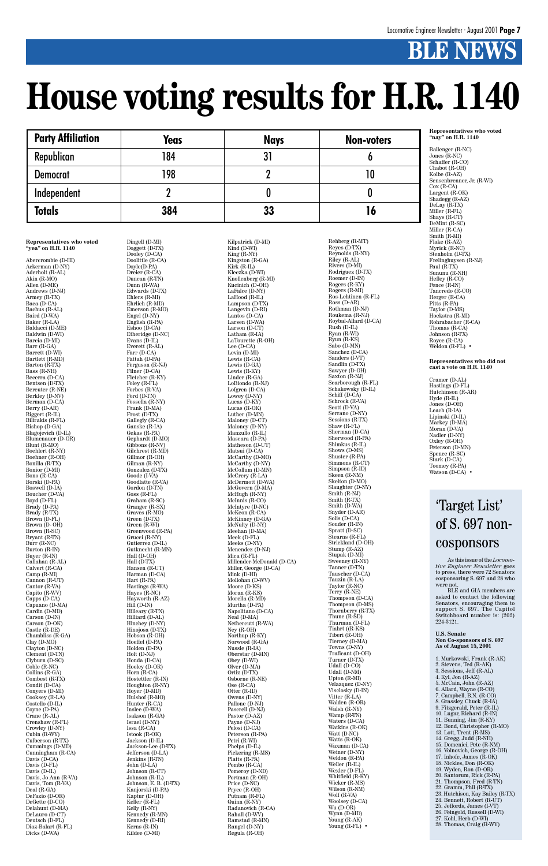### **BLE NEWS**

#### **Representatives who voted "yea" on H.R. 1140**

Abercrombie (D-HI) Ackerman (D-NY) Aderholt (R-AL) Akin (R-MO) Allen (D-ME) Andrews (D-NJ) Armey (R-TX) Baca (D-CA) Bachus (R-AL) Baird (D-WA) Baker (R-LA) Baldacci (D-ME) Baldwin (D-WI) Barcia (D-MI) Barr (R-GA) Barrett (D-WI) Bartlett (R-MD) Barton (R-TX) Bass (R-NH) Becerra (D-CA) Bentsen (D-TX) Bereuter (R-NE) Berkley (D-NV) Berman (D-CA) Berry (D-AR) Biggert (R-IL) Bilirakis (R-FL) Bishop (D-GA) Blagojevich (D-IL) Blumenauer (D-OR) Blunt (R-MO) Boehlert (R-NY) Boehner (R-OH) Bonilla (R-TX) Bonior (D-MI) Bono (R-CA) Borski (D-PA) Boswell (D-IA) Boucher (D-VA) Boyd (D-FL) Brady (D-PA) Brady (R-TX) Brown (D-FL) Brown  $(D- OH)$ Brown (R-SC) Bryant (R-TN) Burr (R-NC) Burton (R-IN) Buyer (R-IN) Callahan (R-AL) Calvert (R-CA) Camp (R-MI) Cannon (R-UT) Cantor (R-VA) Capito (R-WV) Capps (D-CA) Capuano (D-MA) Cardin (D-MD) Carson (D-IN) Carson (D-OK) Castle (R-DE) Chambliss (R-GA) Clay (D-MO) Clayton (D-NC) Clement (D-TN) Clyburn (D-SC) Coble (R-NC) Collins (R-GA) Combest (R-TX) Condit (D-CA) Conyers (D-MI) Cooksey (R-LA) Costello (D-IL) Coyne (D-PA) Crane (R-AL) Crenshaw (R-FL) Crowley (D-NY) Cubin (R-WY) Culberson (R-TX) Cummings (D-MD) Cunningham (R-CA) Davis (D-CA) Davis (D-FL) Davis (D-IL) Davis, Jo Ann (R-VA) Davis, Tom (R-VA) Deal (R-GA) DeFazio (D-OR) DeGette (D-CO) Delahunt (D-MA) DeLauro (D-CT) Deutsch (D-FL) Diaz-Balart (R-FL) Dicks (D-WA)

Ballenger (R-NC) Jones (R-NC) Schaffer (R-CO) Chabot (R-OH) Kolbe (R-AZ) Sensenbrenner, Jr. (R-WI) Cox (R-CA) Largent (R-OK) Shadegg (R-AZ) DeLay (R-TX) Miller (R-FL) Shays (R-CT) DeMint (R-SC) Miller (R-CA) Smith (R-MI) Flake (R-AZ) Myrick (R-NC) Stenholm (D-TX) Frelinghuysen (R-NJ) Paul (R-TX) Sununu (R-NH) Hefley (R-CO) Pence (R-IN) Tancredo (R-CO) Herger (R-CA) Pitts (R-PA) Taylor (D-MS) Hoekstra (R-MI) Rohrabacher (R-CA) Thomas (R-CA) Johnson (R-TX) Royce (R-CA) Weldon  $(R\text{-FL})$  •

Dingell (D-MI) Doggett (D-TX) Dooley (D-CA) Doolittle (R-CA) Doyle(D-PA) Dreier (R-CA) Duncan (R-TN) Dunn (R-WA) Edwards (D-TX) Ehlers (R-MI) Ehrlich (R-MD) Emerson (R-MO) Engel (D-NY) English (R-PA) Eshoo (D-CA) Etheridge (D-NC) Evans (D-IL) Everett (R-AL) Farr (D-CA) Fattah (D-PA) Ferguson (R-NJ) Filner (D-CA) Fletcher (R-KY) Foley (R-FL) Forbes (R-VA) Ford (D-TN) Fossella (R-NY) Frank (D-MA) Frost (D-TX) Gallegly (R-CA) Ganske (R-IA) Gekas (R-PA) Gephardt (D-MO) Gibbons (R-NV) Gilchrest (R-MD) Gillmor (R-OH) Gilman (R-NY) Gonzalez (D-TX) Goode (I-VA) Goodlatte (R-VA) Gordon (D-TN) Goss (R-FL) Graham (R-SC) Granger (R-SX) Graves (R-MO) Green (D-TX) Green (R-WI) Greenwood (R-PA) Grucci (R-NY) Gutierrez (D-IL) Gutknecht (R-MN) Hall (D-OH) Hall (D-TX) Hansen (R-UT) Harman (D-CA) Hart (R-PA) Hastings (R-WA) Hayes (R-NC) Hayworth (R-AZ) Hill (D-IN) Hilleary (R-TN) Hilliard (D-AL) Hinchey (D-NY) Hinojosa (D-TX) Hobson (R-OH) Hoeffel (D-PA) Holden (D-PA) Holt (D-NJ) Honda (D-CA) Hooley (D-OR) Horn (R-CA) Hostettler (R-IN) Houghton (R-NY) Hoyer (D-MD) Hulshof (R-MO) Hunter (R-CA) Inslee (D-WA) Isakson (R-GA) Israel (D-NY) Issa (R-CA) Istook (R-OK) Jackson (D-IL) Jackson-Lee (D-TX) Jefferson (D-LA) Jenkins (R-TN) John (D-LA) Johnson (R-CT) Johnson (R-IL) Johnson, E. B. (D-TX) Kanjorski (D-PA) Kaptur (D-OH) Keller (R-FL) Kelly (R-NY) Kennedy (R-MN) Kennedy (D-RI) Kerns (R-IN) Kildee (D-MI)

Rehberg (R-MT) Reyes (D-TX) Reynolds (R-NY) Riley (R-AL) Rivers (D-MI) Rodriguez (D-TX) Roemer (D-IN) Rogers (R-KY) Rogers (R-MI) Ros-Lehtinen (R-FL) Ross (D-AR) Rothman (D-NJ) Roukema (R-NJ) Roybal-Allard (D-CA) Rush (D-IL) Ryan (R-WI) Ryun (R-KS) Sabo (D-MN) Sanchez (D-CA) Sanders (I-VT) Sandlin (D-TX) Sawyer (D-OH) Saxton (R-NJ) Scarborough (R-FL) Schakowsky (D-IL) Schiff (D-CA) Schrock (R-VA) Scott (D-VA) Serrano (D-NY) Sessions (R-TX) Shaw (R-FL) Sherman (D-CA) Sherwood (R-PA) Shimkus (R-IL) Shows (D-MS) Shuster (R-PA) Simmons (R-CT) Simpson (R-ID) Skeen (R-NM) Skelton (D-MO) Slaughter (D-NY) Smith (R-NJ) Smith (R-TX) Smith (D-WA) Snyder (D-AR) Solis (D-CA) Souder (R-IN) Spratt (D-SC) Stearns (R-FL) Strickland (D-OH) Stump (R-AZ) Stupak (D-MI) Sweeney (R-NY) Tanner (D-TN) Tauscher (D-CA) Tauzin (R-LA) Taylor (R-NC) Terry (R-NE) Thompson (D-CA) Thompson (D-MS) Thornberry (R-TX) Thune (R-SD) Thurman (D-FL) Tiahrt ((R-KS) Tiberi (R-OH) Tierney (D-MA) Towns (D-NY) Traficant (D-OH) Turner (D-TX) Udall (D-CO) Udall (D-NM) Upton (R-MI) Velazquez (D-NY) Visclosky (D-IN) Vitter (R-LA) Walden (R-OR) Walsh (R-NY) Wamp (R-TN) Waters (D-CA) Watkins (R-OK) Watt (D-NC) Watts (R-OK) Waxman (D-CA) Weiner (D-NY) Weldon (R-PA) Weller (R-IL) Wexler (D-FL) Whitfield (R-KY) Wicker (R-MS) Wilson (R-NM) Wolf (R-VA) Woolsey (D-CA) Wu (D-OR) Wynn (D-MD) Young (R-AK) Young  $(R$ -FL $)$  •

Kilpatrick (D-MI) Kind (D-WI) King (R-NY) Kingston (R-GA) Kirk (R-IL) Kleczka (D-WI) Knollenberg (R-MI) Kucinich  $(\overrightarrow{D}$ - $\overrightarrow{OH})$ LaFalce (D-NY) LaHood (R-IL) Lampson (D-TX) Langevin (D-RI) Lantos (D-CA) Larsen (D-WA) Larson (D-CT) Latham (R-IA) LaTourette (R-OH) Lee (D-CA) Levin (D-MI) Lewis (R-CA) Lewis (D-GA) Lewis (R-KY) Linder (R-GA) LoBiondo (R-NJ) Lofgren (D-CA) Lowey (D-NY) Lucas (D-KY) Lucas (R-OK) Luther (D-MN) Maloney (D-CT) Maloney (D-NY) Manzullo (R-IL) Mascara (D-PA) Matheson (D-UT) Matsui (D-CA) McCarthy (D-MO) McCarthy (D-NY) McCollum (D-MN) McCrery (R-LA) McDermott (D-WA) McGovern (D-MA) McHugh (R-NY) McInnis (R-CO) McIntyre (D-NC) McKeon (R-CA) McKinney (D-GA) McNulty (D-NY) Meehan (D-MA) Meek (D-FL) Meeks (D-NY) Menendez (D-NJ) Mica (R-FL) Millender-McDonald (D-CA) Miller, George (D-CA) Mink (D-HI) Mollohan (D-WV) Moore (D-KS) Moran (R-KS) Morella (R-MD) Murtha (D-PA) Napolitano (D-CA) Neal (D-MA) Nethercutt (R-WA) Ney (R-OH) up (R Norwood (R-GA) Nussle (R-IA) Oberstar (D-MN) Obey (D-WI) Olver (D-MA) Ortiz (D-TX) Osborne (R-NE) Ose (R-CA) Otter (R-ID) Owens (D-NY) Pallone (D-NJ) Pascrell (D-NJ) Pastor (D-AZ) Payne (D-NJ) Pelosi (D-CA) Peterson (R-PA) Petri (R-WI) Phelps (D-IL) Pickering (R-MS) Platts (R-PA) Pombo (R-CA) Pomeroy (D-ND) Portman (R-OH) Price (D-NC) Pryce (R-OH) Putnam (R-FL) Quinn (R-NY) Radanovich (R-CA) Rahall (D-WV) Ramstad (R-MN) Rangel (D-NY) Regula (R-OH)

BLE and GIA members are asked to contact the following Senators, encouraging them to support S. 697. The Capitol Switchboard number is: (202) 224-3121.

#### **Representatives who voted "nay" on H.R. 1140**

#### **Representatives who did not cast a vote on H.R. 1140**

Cramer (D-AL) Hastings (D-FL) Hutchinson (R-AR) Hyde (R-IL) Jones (D-OH) Leach (R-IA) Lipinski (D-IL) Markey (D-MA) Moran (D-VA) Nadler (D-NY) Oxley (R-OH) Peterson (D-MN) Spence (R-SC) Stark (D-CA) Toomey (R-PA) Watson (D-CA) •

# **House voting results for H.R. 1140**

| <b>Party Affiliation</b> | <b>Yeas</b> | <b>Nays</b> | <b>Non-voters</b> |
|--------------------------|-------------|-------------|-------------------|
| Republican               | 184         | 31          |                   |
| <b>Democrat</b>          | 198         |             | 10                |
| Independent              |             |             |                   |
| <b>Totals</b>            | 384         | 33          | I6                |

**U.S. Senate**

#### **Non Co-sponsors of S. 697 As of August 15, 2001**

1. Murkowski, Frank (R-AK) 2. Stevens, Ted (R-AK) 3. Sessions, Jeff (R-AL) 4. Kyl, Jon (R-AZ) 5. McCain, John (R-AZ) 6. Allard, Wayne (R-CO) 7. Campbell, B.N. (R-CO) 8. Grassley, Chuck (R-IA) 9. Fitzgerald, Peter (R-IL) 10. Lugar, Richard (R-IN) 11. Bunning, Jim (R-KY) 12. Bond, Christopher (R-MO) 13. Lott, Trent (R-MS) 14. Gregg, Judd (R-NH) 15. Domenici, Pete (R-NM) 16. Voinovich, George (R-OH) 17. Inhofe, James (R-OK) 18. Nickles, Don (R-OK) 19. Wyden, Ron (D-OR) 20. Santorum, Rick (R-PA) 21. Thompson, Fred (R-TN) 22. Gramm, Phil (R-TX) 23. Hutchison, Kay Bailey (R-TX) 24. Bennett, Robert (R-UT) 25. Jeffords, James (I-VT) 26. Feingold, Russell (D-WI) 27. Kohl, Herb (D-WI) 28. Thomas, Craig (R-WY)

#### 'Target List' of S. 697 noncosponsors

As this issue of the *Locomotive Engineer Newsletter* goes to press, there were 72 Senators cosponsoring S. 697 and 28 who were not.